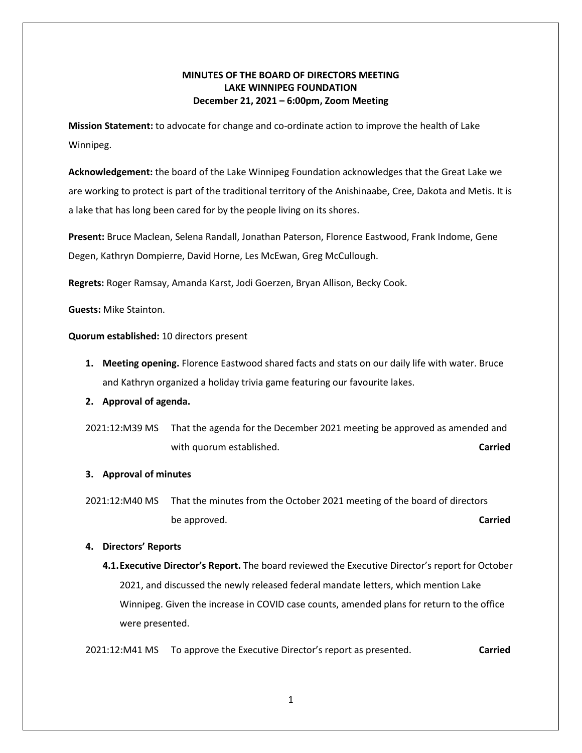# **MINUTES OF THE BOARD OF DIRECTORS MEETING LAKE WINNIPEG FOUNDATION December 21, 2021 – 6:00pm, Zoom Meeting**

**Mission Statement:** to advocate for change and co-ordinate action to improve the health of Lake Winnipeg.

**Acknowledgement:** the board of the Lake Winnipeg Foundation acknowledges that the Great Lake we are working to protect is part of the traditional territory of the Anishinaabe, Cree, Dakota and Metis. It is a lake that has long been cared for by the people living on its shores.

**Present:** Bruce Maclean, Selena Randall, Jonathan Paterson, Florence Eastwood, Frank Indome, Gene Degen, Kathryn Dompierre, David Horne, Les McEwan, Greg McCullough.

**Regrets:** Roger Ramsay, Amanda Karst, Jodi Goerzen, Bryan Allison, Becky Cook.

**Guests:** Mike Stainton.

**Quorum established:** 10 directors present

- **1. Meeting opening.** Florence Eastwood shared facts and stats on our daily life with water. Bruce and Kathryn organized a holiday trivia game featuring our favourite lakes.
- **2. Approval of agenda.**
- 2021:12:M39 MS That the agenda for the December 2021 meeting be approved as amended and with quorum established. **Carried Carried Carried Carried**

## **3. Approval of minutes**

2021:12:M40 MS That the minutes from the October 2021 meeting of the board of directors be approved. **Carried**

#### **4. Directors' Reports**

**4.1.Executive Director's Report.** The board reviewed the Executive Director's report for October 2021, and discussed the newly released federal mandate letters, which mention Lake Winnipeg. Given the increase in COVID case counts, amended plans for return to the office were presented.

2021:12:M41 MS To approve the Executive Director's report as presented. **Carried**